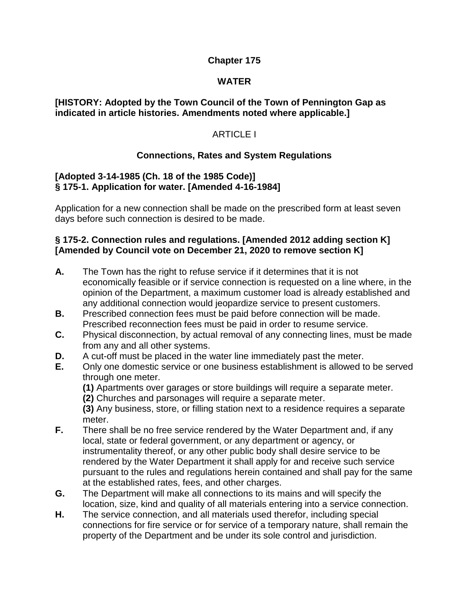#### **Chapter 175**

#### **WATER**

#### **[HISTORY: Adopted by the Town Council of the Town of Pennington Gap as indicated in article histories. Amendments noted where applicable.]**

## ARTICLE I

## **Connections, Rates and System Regulations**

#### **[Adopted 3-14-1985 (Ch. 18 of the 1985 Code)] § 175-1. Application for water. [Amended 4-16-1984]**

Application for a new connection shall be made on the prescribed form at least seven days before such connection is desired to be made.

#### **§ 175-2. Connection rules and regulations. [Amended 2012 adding section K] [Amended by Council vote on December 21, 2020 to remove section K]**

- **A.** The Town has the right to refuse service if it determines that it is not economically feasible or if service connection is requested on a line where, in the opinion of the Department, a maximum customer load is already established and any additional connection would jeopardize service to present customers.
- **B.** Prescribed connection fees must be paid before connection will be made. Prescribed reconnection fees must be paid in order to resume service.
- **C.** Physical disconnection, by actual removal of any connecting lines, must be made from any and all other systems.
- **D.** A cut-off must be placed in the water line immediately past the meter.
- **E.** Only one domestic service or one business establishment is allowed to be served through one meter.

**(1)** Apartments over garages or store buildings will require a separate meter.

**(2)** Churches and parsonages will require a separate meter.

**(3)** Any business, store, or filling station next to a residence requires a separate meter.

- **F.** There shall be no free service rendered by the Water Department and, if any local, state or federal government, or any department or agency, or instrumentality thereof, or any other public body shall desire service to be rendered by the Water Department it shall apply for and receive such service pursuant to the rules and regulations herein contained and shall pay for the same at the established rates, fees, and other charges.
- **G.** The Department will make all connections to its mains and will specify the location, size, kind and quality of all materials entering into a service connection.
- **H.** The service connection, and all materials used therefor, including special connections for fire service or for service of a temporary nature, shall remain the property of the Department and be under its sole control and jurisdiction.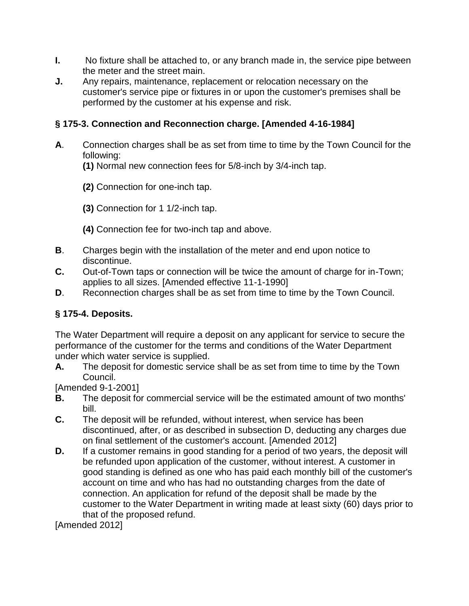- **I.** No fixture shall be attached to, or any branch made in, the service pipe between the meter and the street main.
- **J.** Any repairs, maintenance, replacement or relocation necessary on the customer's service pipe or fixtures in or upon the customer's premises shall be performed by the customer at his expense and risk.

## **§ 175-3. Connection and Reconnection charge. [Amended 4-16-1984]**

- **A**. Connection charges shall be as set from time to time by the Town Council for the following:
	- **(1)** Normal new connection fees for 5/8-inch by 3/4-inch tap.
	- **(2)** Connection for one-inch tap.
	- **(3)** Connection for 1 1/2-inch tap.
	- **(4)** Connection fee for two-inch tap and above.
- **B**. Charges begin with the installation of the meter and end upon notice to discontinue.
- **C.** Out-of-Town taps or connection will be twice the amount of charge for in-Town; applies to all sizes. [Amended effective 11-1-1990]
- **D**. Reconnection charges shall be as set from time to time by the Town Council.

# **§ 175-4. Deposits.**

The Water Department will require a deposit on any applicant for service to secure the performance of the customer for the terms and conditions of the Water Department under which water service is supplied.

**A.** The deposit for domestic service shall be as set from time to time by the Town Council.

[Amended 9-1-2001]

- **B.** The deposit for commercial service will be the estimated amount of two months' bill.
- **C.** The deposit will be refunded, without interest, when service has been discontinued, after, or as described in subsection D, deducting any charges due on final settlement of the customer's account. [Amended 2012]
- **D.** If a customer remains in good standing for a period of two years, the deposit will be refunded upon application of the customer, without interest. A customer in good standing is defined as one who has paid each monthly bill of the customer's account on time and who has had no outstanding charges from the date of connection. An application for refund of the deposit shall be made by the customer to the Water Department in writing made at least sixty (60) days prior to that of the proposed refund.

[Amended 2012]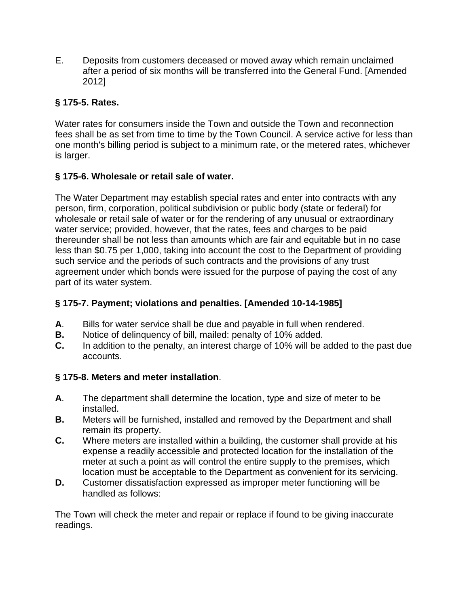E. Deposits from customers deceased or moved away which remain unclaimed after a period of six months will be transferred into the General Fund. [Amended 2012]

# **§ 175-5. Rates.**

Water rates for consumers inside the Town and outside the Town and reconnection fees shall be as set from time to time by the Town Council. A service active for less than one month's billing period is subject to a minimum rate, or the metered rates, whichever is larger.

## **§ 175-6. Wholesale or retail sale of water.**

The Water Department may establish special rates and enter into contracts with any person, firm, corporation, political subdivision or public body (state or federal) for wholesale or retail sale of water or for the rendering of any unusual or extraordinary water service; provided, however, that the rates, fees and charges to be paid thereunder shall be not less than amounts which are fair and equitable but in no case less than \$0.75 per 1,000, taking into account the cost to the Department of providing such service and the periods of such contracts and the provisions of any trust agreement under which bonds were issued for the purpose of paying the cost of any part of its water system.

## **§ 175-7. Payment; violations and penalties. [Amended 10-14-1985]**

- **A**. Bills for water service shall be due and payable in full when rendered.
- **B.** Notice of delinquency of bill, mailed: penalty of 10% added.
- **C.** In addition to the penalty, an interest charge of 10% will be added to the past due accounts.

# **§ 175-8. Meters and meter installation**.

- **A**. The department shall determine the location, type and size of meter to be installed.
- **B.** Meters will be furnished, installed and removed by the Department and shall remain its property.
- **C.** Where meters are installed within a building, the customer shall provide at his expense a readily accessible and protected location for the installation of the meter at such a point as will control the entire supply to the premises, which location must be acceptable to the Department as convenient for its servicing.
- **D.** Customer dissatisfaction expressed as improper meter functioning will be handled as follows:

The Town will check the meter and repair or replace if found to be giving inaccurate readings.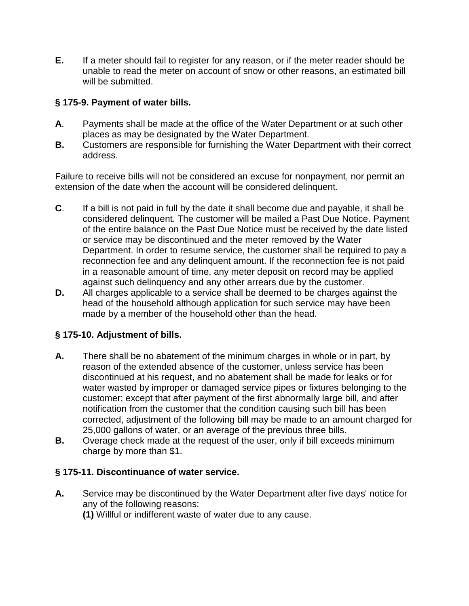**E.** If a meter should fail to register for any reason, or if the meter reader should be unable to read the meter on account of snow or other reasons, an estimated bill will be submitted.

## **§ 175-9. Payment of water bills.**

- **A**. Payments shall be made at the office of the Water Department or at such other places as may be designated by the Water Department.
- **B.** Customers are responsible for furnishing the Water Department with their correct address.

Failure to receive bills will not be considered an excuse for nonpayment, nor permit an extension of the date when the account will be considered delinquent.

- **C**. If a bill is not paid in full by the date it shall become due and payable, it shall be considered delinquent. The customer will be mailed a Past Due Notice. Payment of the entire balance on the Past Due Notice must be received by the date listed or service may be discontinued and the meter removed by the Water Department. In order to resume service, the customer shall be required to pay a reconnection fee and any delinquent amount. If the reconnection fee is not paid in a reasonable amount of time, any meter deposit on record may be applied against such delinquency and any other arrears due by the customer.
- **D.** All charges applicable to a service shall be deemed to be charges against the head of the household although application for such service may have been made by a member of the household other than the head.

# **§ 175-10. Adjustment of bills.**

- **A.** There shall be no abatement of the minimum charges in whole or in part, by reason of the extended absence of the customer, unless service has been discontinued at his request, and no abatement shall be made for leaks or for water wasted by improper or damaged service pipes or fixtures belonging to the customer; except that after payment of the first abnormally large bill, and after notification from the customer that the condition causing such bill has been corrected, adjustment of the following bill may be made to an amount charged for 25,000 gallons of water, or an average of the previous three bills.
- **B.** Overage check made at the request of the user, only if bill exceeds minimum charge by more than \$1.

## **§ 175-11. Discontinuance of water service.**

**A.** Service may be discontinued by the Water Department after five days' notice for any of the following reasons:

**(1)** Willful or indifferent waste of water due to any cause.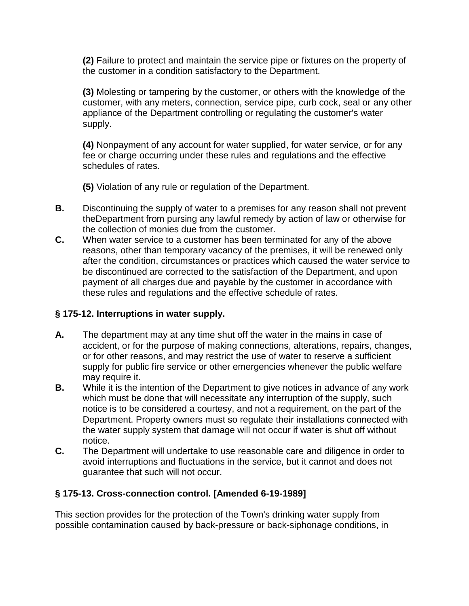**(2)** Failure to protect and maintain the service pipe or fixtures on the property of the customer in a condition satisfactory to the Department.

**(3)** Molesting or tampering by the customer, or others with the knowledge of the customer, with any meters, connection, service pipe, curb cock, seal or any other appliance of the Department controlling or regulating the customer's water supply.

**(4)** Nonpayment of any account for water supplied, for water service, or for any fee or charge occurring under these rules and regulations and the effective schedules of rates.

**(5)** Violation of any rule or regulation of the Department.

- **B.** Discontinuing the supply of water to a premises for any reason shall not prevent theDepartment from pursing any lawful remedy by action of law or otherwise for the collection of monies due from the customer.
- **C.** When water service to a customer has been terminated for any of the above reasons, other than temporary vacancy of the premises, it will be renewed only after the condition, circumstances or practices which caused the water service to be discontinued are corrected to the satisfaction of the Department, and upon payment of all charges due and payable by the customer in accordance with these rules and regulations and the effective schedule of rates.

# **§ 175-12. Interruptions in water supply.**

- **A.** The department may at any time shut off the water in the mains in case of accident, or for the purpose of making connections, alterations, repairs, changes, or for other reasons, and may restrict the use of water to reserve a sufficient supply for public fire service or other emergencies whenever the public welfare may require it.
- **B.** While it is the intention of the Department to give notices in advance of any work which must be done that will necessitate any interruption of the supply, such notice is to be considered a courtesy, and not a requirement, on the part of the Department. Property owners must so regulate their installations connected with the water supply system that damage will not occur if water is shut off without notice.
- **C.** The Department will undertake to use reasonable care and diligence in order to avoid interruptions and fluctuations in the service, but it cannot and does not guarantee that such will not occur.

# **§ 175-13. Cross-connection control. [Amended 6-19-1989]**

This section provides for the protection of the Town's drinking water supply from possible contamination caused by back-pressure or back-siphonage conditions, in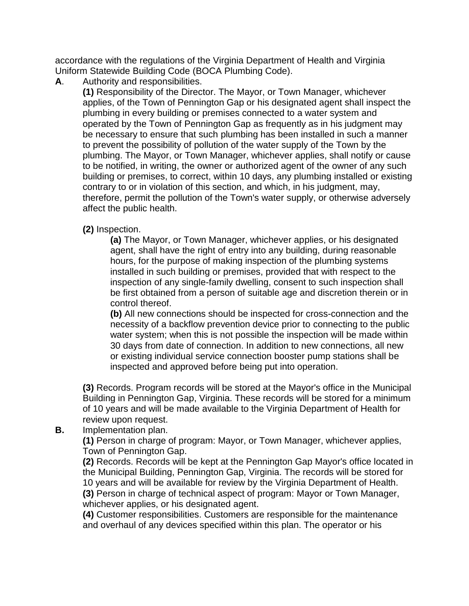accordance with the regulations of the Virginia Department of Health and Virginia Uniform Statewide Building Code (BOCA Plumbing Code).

**A**. Authority and responsibilities.

**(1)** Responsibility of the Director. The Mayor, or Town Manager, whichever applies, of the Town of Pennington Gap or his designated agent shall inspect the plumbing in every building or premises connected to a water system and operated by the Town of Pennington Gap as frequently as in his judgment may be necessary to ensure that such plumbing has been installed in such a manner to prevent the possibility of pollution of the water supply of the Town by the plumbing. The Mayor, or Town Manager, whichever applies, shall notify or cause to be notified, in writing, the owner or authorized agent of the owner of any such building or premises, to correct, within 10 days, any plumbing installed or existing contrary to or in violation of this section, and which, in his judgment, may, therefore, permit the pollution of the Town's water supply, or otherwise adversely affect the public health.

**(2)** Inspection.

**(a)** The Mayor, or Town Manager, whichever applies, or his designated agent, shall have the right of entry into any building, during reasonable hours, for the purpose of making inspection of the plumbing systems installed in such building or premises, provided that with respect to the inspection of any single-family dwelling, consent to such inspection shall be first obtained from a person of suitable age and discretion therein or in control thereof.

**(b)** All new connections should be inspected for cross-connection and the necessity of a backflow prevention device prior to connecting to the public water system; when this is not possible the inspection will be made within 30 days from date of connection. In addition to new connections, all new or existing individual service connection booster pump stations shall be inspected and approved before being put into operation.

**(3)** Records. Program records will be stored at the Mayor's office in the Municipal Building in Pennington Gap, Virginia. These records will be stored for a minimum of 10 years and will be made available to the Virginia Department of Health for review upon request.

## **B.** Implementation plan.

**(1)** Person in charge of program: Mayor, or Town Manager, whichever applies, Town of Pennington Gap.

**(2)** Records. Records will be kept at the Pennington Gap Mayor's office located in the Municipal Building, Pennington Gap, Virginia. The records will be stored for 10 years and will be available for review by the Virginia Department of Health. **(3)** Person in charge of technical aspect of program: Mayor or Town Manager, whichever applies, or his designated agent.

**(4)** Customer responsibilities. Customers are responsible for the maintenance and overhaul of any devices specified within this plan. The operator or his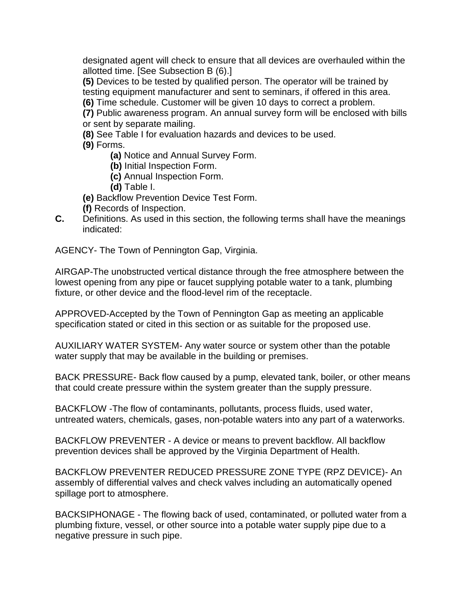designated agent will check to ensure that all devices are overhauled within the allotted time. [See Subsection B (6).]

**(5)** Devices to be tested by qualified person. The operator will be trained by testing equipment manufacturer and sent to seminars, if offered in this area.

**(6)** Time schedule. Customer will be given 10 days to correct a problem.

**(7)** Public awareness program. An annual survey form will be enclosed with bills or sent by separate mailing.

**(8)** See Table I for evaluation hazards and devices to be used.

**(9)** Forms.

**(a)** Notice and Annual Survey Form.

- **(b)** Initial Inspection Form.
- **(c)** Annual Inspection Form.
- **(d)** Table I.
- **(e)** Backflow Prevention Device Test Form.
- **(f)** Records of Inspection.
- **C.** Definitions. As used in this section, the following terms shall have the meanings indicated:

AGENCY- The Town of Pennington Gap, Virginia.

AIRGAP-The unobstructed vertical distance through the free atmosphere between the lowest opening from any pipe or faucet supplying potable water to a tank, plumbing fixture, or other device and the flood-level rim of the receptacle.

APPROVED-Accepted by the Town of Pennington Gap as meeting an applicable specification stated or cited in this section or as suitable for the proposed use.

AUXILIARY WATER SYSTEM- Any water source or system other than the potable water supply that may be available in the building or premises.

BACK PRESSURE- Back flow caused by a pump, elevated tank, boiler, or other means that could create pressure within the system greater than the supply pressure.

BACKFLOW -The flow of contaminants, pollutants, process fluids, used water, untreated waters, chemicals, gases, non-potable waters into any part of a waterworks.

BACKFLOW PREVENTER - A device or means to prevent backflow. All backflow prevention devices shall be approved by the Virginia Department of Health.

BACKFLOW PREVENTER REDUCED PRESSURE ZONE TYPE (RPZ DEVICE)- An assembly of differential valves and check valves including an automatically opened spillage port to atmosphere.

BACKSIPHONAGE - The flowing back of used, contaminated, or polluted water from a plumbing fixture, vessel, or other source into a potable water supply pipe due to a negative pressure in such pipe.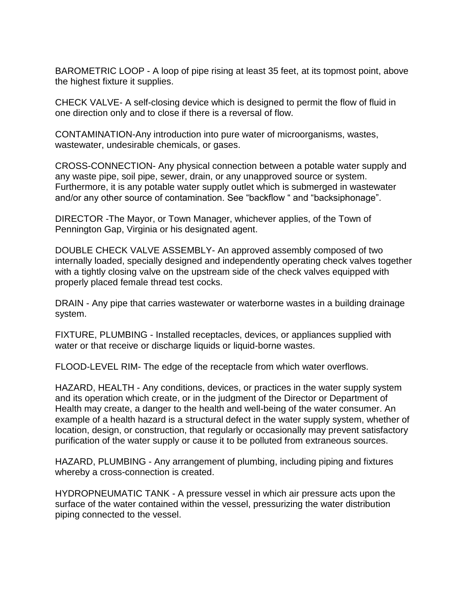BAROMETRIC LOOP - A loop of pipe rising at least 35 feet, at its topmost point, above the highest fixture it supplies.

CHECK VALVE- A self-closing device which is designed to permit the flow of fluid in one direction only and to close if there is a reversal of flow.

CONTAMINATION-Any introduction into pure water of microorganisms, wastes, wastewater, undesirable chemicals, or gases.

CROSS-CONNECTION- Any physical connection between a potable water supply and any waste pipe, soil pipe, sewer, drain, or any unapproved source or system. Furthermore, it is any potable water supply outlet which is submerged in wastewater and/or any other source of contamination. See "backflow " and "backsiphonage".

DIRECTOR -The Mayor, or Town Manager, whichever applies, of the Town of Pennington Gap, Virginia or his designated agent.

DOUBLE CHECK VALVE ASSEMBLY- An approved assembly composed of two internally loaded, specially designed and independently operating check valves together with a tightly closing valve on the upstream side of the check valves equipped with properly placed female thread test cocks.

DRAIN - Any pipe that carries wastewater or waterborne wastes in a building drainage system.

FIXTURE, PLUMBING - Installed receptacles, devices, or appliances supplied with water or that receive or discharge liquids or liquid-borne wastes.

FLOOD-LEVEL RIM- The edge of the receptacle from which water overflows.

HAZARD, HEALTH - Any conditions, devices, or practices in the water supply system and its operation which create, or in the judgment of the Director or Department of Health may create, a danger to the health and well-being of the water consumer. An example of a health hazard is a structural defect in the water supply system, whether of location, design, or construction, that regularly or occasionally may prevent satisfactory purification of the water supply or cause it to be polluted from extraneous sources.

HAZARD, PLUMBING - Any arrangement of plumbing, including piping and fixtures whereby a cross-connection is created.

HYDROPNEUMATIC TANK - A pressure vessel in which air pressure acts upon the surface of the water contained within the vessel, pressurizing the water distribution piping connected to the vessel.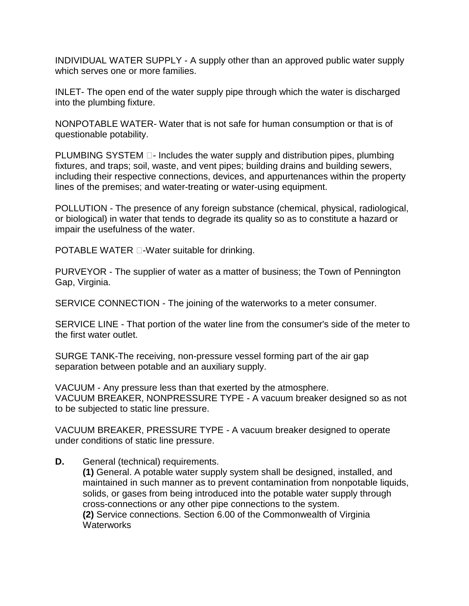INDIVIDUAL WATER SUPPLY - A supply other than an approved public water supply which serves one or more families.

INLET- The open end of the water supply pipe through which the water is discharged into the plumbing fixture.

NONPOTABLE WATER- Water that is not safe for human consumption or that is of questionable potability.

PLUMBING SYSTEM  $\Box$ - Includes the water supply and distribution pipes, plumbing fixtures, and traps; soil, waste, and vent pipes; building drains and building sewers, including their respective connections, devices, and appurtenances within the property lines of the premises; and water-treating or water-using equipment.

POLLUTION - The presence of any foreign substance (chemical, physical, radiological, or biological) in water that tends to degrade its quality so as to constitute a hazard or impair the usefulness of the water.

POTABLE WATER  $\Box$ -Water suitable for drinking.

PURVEYOR - The supplier of water as a matter of business; the Town of Pennington Gap, Virginia.

SERVICE CONNECTION - The joining of the waterworks to a meter consumer.

SERVICE LINE - That portion of the water line from the consumer's side of the meter to the first water outlet.

SURGE TANK-The receiving, non-pressure vessel forming part of the air gap separation between potable and an auxiliary supply.

VACUUM - Any pressure less than that exerted by the atmosphere. VACUUM BREAKER, NONPRESSURE TYPE - A vacuum breaker designed so as not to be subjected to static line pressure.

VACUUM BREAKER, PRESSURE TYPE - A vacuum breaker designed to operate under conditions of static line pressure.

**D.** General (technical) requirements.

**(1)** General. A potable water supply system shall be designed, installed, and maintained in such manner as to prevent contamination from nonpotable liquids, solids, or gases from being introduced into the potable water supply through cross-connections or any other pipe connections to the system. **(2)** Service connections. Section 6.00 of the Commonwealth of Virginia **Waterworks**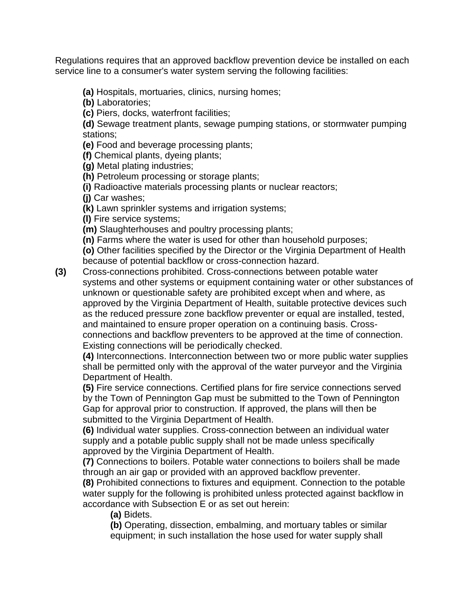Regulations requires that an approved backflow prevention device be installed on each service line to a consumer's water system serving the following facilities:

**(a)** Hospitals, mortuaries, clinics, nursing homes;

**(b)** Laboratories;

**(c)** Piers, docks, waterfront facilities;

**(d)** Sewage treatment plants, sewage pumping stations, or stormwater pumping stations;

**(e)** Food and beverage processing plants;

**(f)** Chemical plants, dyeing plants;

**(g)** Metal plating industries;

**(h)** Petroleum processing or storage plants;

**(i)** Radioactive materials processing plants or nuclear reactors;

**(j)** Car washes;

**(k)** Lawn sprinkler systems and irrigation systems;

**(l)** Fire service systems;

**(m)** Slaughterhouses and poultry processing plants;

**(n)** Farms where the water is used for other than household purposes;

**(o)** Other facilities specified by the Director or the Virginia Department of Health because of potential backflow or cross-connection hazard.

**(3)** Cross-connections prohibited. Cross-connections between potable water systems and other systems or equipment containing water or other substances of unknown or questionable safety are prohibited except when and where, as approved by the Virginia Department of Health, suitable protective devices such as the reduced pressure zone backflow preventer or equal are installed, tested, and maintained to ensure proper operation on a continuing basis. Crossconnections and backflow preventers to be approved at the time of connection. Existing connections will be periodically checked.

**(4)** Interconnections. Interconnection between two or more public water supplies shall be permitted only with the approval of the water purveyor and the Virginia Department of Health.

**(5)** Fire service connections. Certified plans for fire service connections served by the Town of Pennington Gap must be submitted to the Town of Pennington Gap for approval prior to construction. If approved, the plans will then be submitted to the Virginia Department of Health.

**(6)** Individual water supplies. Cross-connection between an individual water supply and a potable public supply shall not be made unless specifically approved by the Virginia Department of Health.

**(7)** Connections to boilers. Potable water connections to boilers shall be made through an air gap or provided with an approved backflow preventer.

**(8)** Prohibited connections to fixtures and equipment. Connection to the potable water supply for the following is prohibited unless protected against backflow in accordance with Subsection E or as set out herein:

**(a)** Bidets.

**(b)** Operating, dissection, embalming, and mortuary tables or similar equipment; in such installation the hose used for water supply shall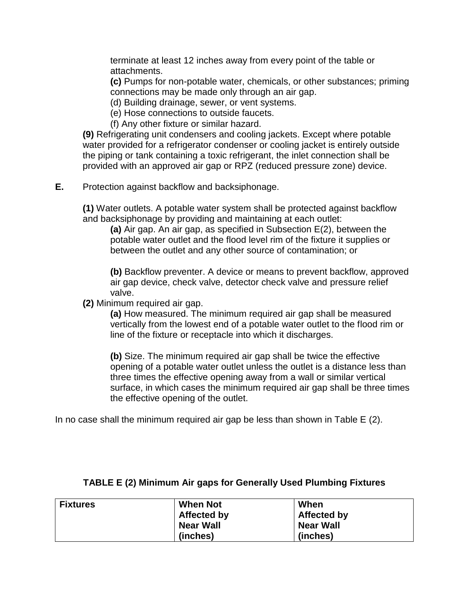terminate at least 12 inches away from every point of the table or attachments.

**(c)** Pumps for non-potable water, chemicals, or other substances; priming connections may be made only through an air gap.

(d) Building drainage, sewer, or vent systems.

(e) Hose connections to outside faucets.

(f) Any other fixture or similar hazard.

**(9)** Refrigerating unit condensers and cooling jackets. Except where potable water provided for a refrigerator condenser or cooling jacket is entirely outside the piping or tank containing a toxic refrigerant, the inlet connection shall be provided with an approved air gap or RPZ (reduced pressure zone) device.

**E.** Protection against backflow and backsiphonage.

**(1)** Water outlets. A potable water system shall be protected against backflow and backsiphonage by providing and maintaining at each outlet:

**(a)** Air gap. An air gap, as specified in Subsection E(2), between the potable water outlet and the flood level rim of the fixture it supplies or between the outlet and any other source of contamination; or

**(b)** Backflow preventer. A device or means to prevent backflow, approved air gap device, check valve, detector check valve and pressure relief valve.

**(2)** Minimum required air gap.

**(a)** How measured. The minimum required air gap shall be measured vertically from the lowest end of a potable water outlet to the flood rim or line of the fixture or receptacle into which it discharges.

**(b)** Size. The minimum required air gap shall be twice the effective opening of a potable water outlet unless the outlet is a distance less than three times the effective opening away from a wall or similar vertical surface, in which cases the minimum required air gap shall be three times the effective opening of the outlet.

In no case shall the minimum required air gap be less than shown in Table E (2).

| <b>Fixtures</b> | <b>When Not</b>  | When               |
|-----------------|------------------|--------------------|
|                 | Affected by      | <b>Affected by</b> |
|                 | <b>Near Wall</b> | <b>Near Wall</b>   |
|                 | (inches)         | (inches)           |

## **TABLE E (2) Minimum Air gaps for Generally Used Plumbing Fixtures**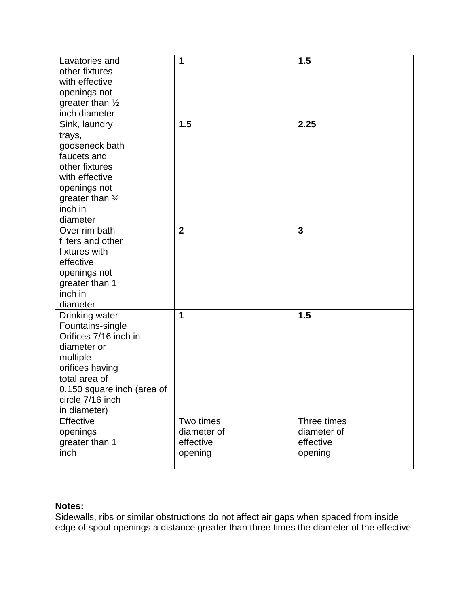| Lavatories and<br>other fixtures<br>with effective<br>openings not<br>greater than $\frac{1}{2}$<br>inch diameter                                                                            | 1                                                | 1.5                                                |
|----------------------------------------------------------------------------------------------------------------------------------------------------------------------------------------------|--------------------------------------------------|----------------------------------------------------|
| Sink, laundry<br>trays,<br>gooseneck bath<br>faucets and<br>other fixtures<br>with effective<br>openings not<br>greater than $\frac{3}{4}$<br>inch in<br>diameter                            | 1.5                                              | 2.25                                               |
| Over rim bath<br>filters and other<br>fixtures with<br>effective<br>openings not<br>greater than 1<br>inch in<br>diameter                                                                    | $\overline{2}$                                   | 3                                                  |
| Drinking water<br>Fountains-single<br>Orifices 7/16 inch in<br>diameter or<br>multiple<br>orifices having<br>total area of<br>0.150 square inch (area of<br>circle 7/16 inch<br>in diameter) | 1                                                | 1.5                                                |
| Effective<br>openings<br>greater than 1<br>inch                                                                                                                                              | Two times<br>diameter of<br>effective<br>opening | Three times<br>diameter of<br>effective<br>opening |

# **Notes:**

Sidewalls, ribs or similar obstructions do not affect air gaps when spaced from inside edge of spout openings a distance greater than three times the diameter of the effective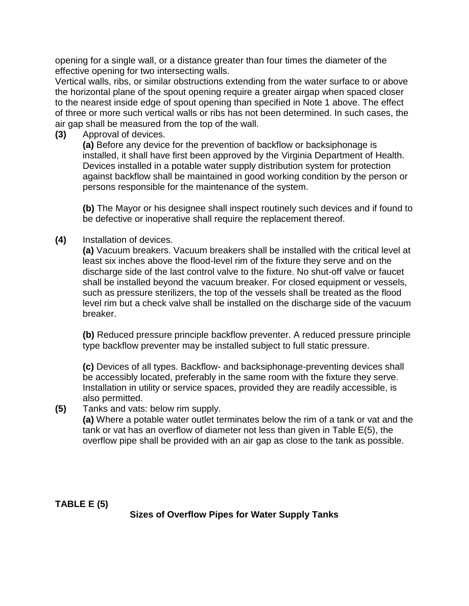opening for a single wall, or a distance greater than four times the diameter of the effective opening for two intersecting walls.

Vertical walls, ribs, or similar obstructions extending from the water surface to or above the horizontal plane of the spout opening require a greater airgap when spaced closer to the nearest inside edge of spout opening than specified in Note 1 above. The effect of three or more such vertical walls or ribs has not been determined. In such cases, the air gap shall be measured from the top of the wall.

**(3)** Approval of devices.

**(a)** Before any device for the prevention of backflow or backsiphonage is installed, it shall have first been approved by the Virginia Department of Health. Devices installed in a potable water supply distribution system for protection against backflow shall be maintained in good working condition by the person or persons responsible for the maintenance of the system.

**(b)** The Mayor or his designee shall inspect routinely such devices and if found to be defective or inoperative shall require the replacement thereof.

**(4)** Installation of devices.

**(a)** Vacuum breakers. Vacuum breakers shall be installed with the critical level at least six inches above the flood-level rim of the fixture they serve and on the discharge side of the last control valve to the fixture. No shut-off valve or faucet shall be installed beyond the vacuum breaker. For closed equipment or vessels, such as pressure sterilizers, the top of the vessels shall be treated as the flood level rim but a check valve shall be installed on the discharge side of the vacuum breaker.

**(b)** Reduced pressure principle backflow preventer. A reduced pressure principle type backflow preventer may be installed subject to full static pressure.

**(c)** Devices of all types. Backflow- and backsiphonage-preventing devices shall be accessibly located, preferably in the same room with the fixture they serve. Installation in utility or service spaces, provided they are readily accessible, is also permitted.

**(5)** Tanks and vats: below rim supply.

**(a)** Where a potable water outlet terminates below the rim of a tank or vat and the tank or vat has an overflow of diameter not less than given in Table E(5), the overflow pipe shall be provided with an air gap as close to the tank as possible.

**TABLE E (5)**

**Sizes of Overflow Pipes for Water Supply Tanks**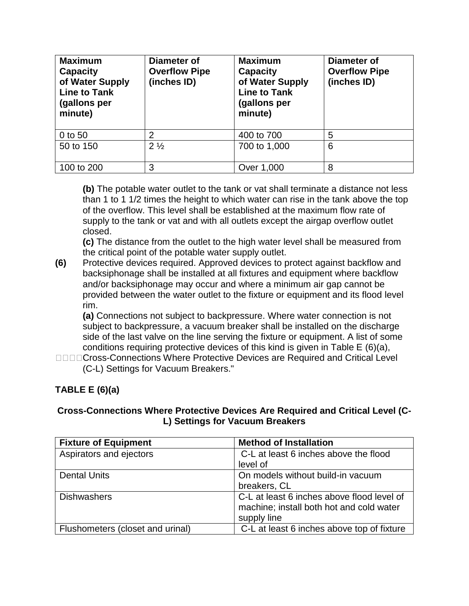| <b>Maximum</b><br><b>Capacity</b><br>of Water Supply<br><b>Line to Tank</b><br>(gallons per<br>minute) | Diameter of<br><b>Overflow Pipe</b><br>(inches ID) | <b>Maximum</b><br><b>Capacity</b><br>of Water Supply<br><b>Line to Tank</b><br>(gallons per<br>minute) | Diameter of<br><b>Overflow Pipe</b><br>(inches ID) |
|--------------------------------------------------------------------------------------------------------|----------------------------------------------------|--------------------------------------------------------------------------------------------------------|----------------------------------------------------|
| 0 to 50                                                                                                | 2                                                  | 400 to 700                                                                                             | 5                                                  |
| 50 to 150                                                                                              | $2\frac{1}{2}$                                     | 700 to 1,000                                                                                           | 6                                                  |
| 100 to 200                                                                                             | 3                                                  | Over 1,000                                                                                             | 8                                                  |

**(b)** The potable water outlet to the tank or vat shall terminate a distance not less than 1 to 1 1/2 times the height to which water can rise in the tank above the top of the overflow. This level shall be established at the maximum flow rate of supply to the tank or vat and with all outlets except the airgap overflow outlet closed.

**(c)** The distance from the outlet to the high water level shall be measured from the critical point of the potable water supply outlet.

**(6)** Protective devices required. Approved devices to protect against backflow and backsiphonage shall be installed at all fixtures and equipment where backflow and/or backsiphonage may occur and where a minimum air gap cannot be provided between the water outlet to the fixture or equipment and its flood level rim.

**(a)** Connections not subject to backpressure. Where water connection is not subject to backpressure, a vacuum breaker shall be installed on the discharge side of the last valve on the line serving the fixture or equipment. A list of some conditions requiring protective devices of this kind is given in Table E (6)(a),

**DODDCross-Connections Where Protective Devices are Required and Critical Level** (C-L) Settings for Vacuum Breakers."

# **TABLE E (6)(a)**

#### **Cross-Connections Where Protective Devices Are Required and Critical Level (C-L) Settings for Vacuum Breakers**

| <b>Fixture of Equipment</b>      | <b>Method of Installation</b>              |
|----------------------------------|--------------------------------------------|
| Aspirators and ejectors          | C-L at least 6 inches above the flood      |
|                                  | level of                                   |
| <b>Dental Units</b>              | On models without build-in vacuum          |
|                                  | breakers, CL                               |
| <b>Dishwashers</b>               | C-L at least 6 inches above flood level of |
|                                  | machine; install both hot and cold water   |
|                                  | supply line                                |
| Flushometers (closet and urinal) | C-L at least 6 inches above top of fixture |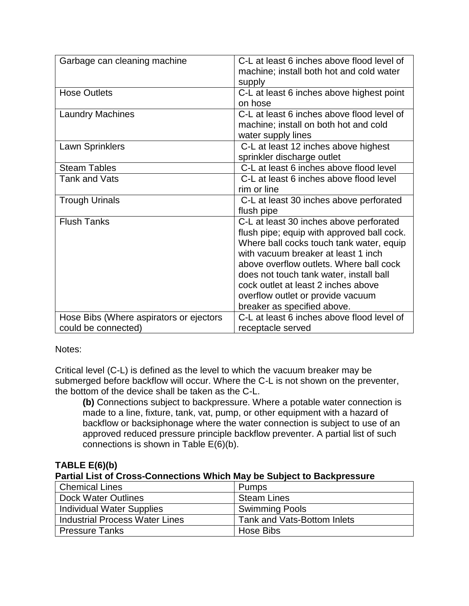| Garbage can cleaning machine                                   | C-L at least 6 inches above flood level of<br>machine; install both hot and cold water<br>supply                                                                                                                                                                                                                                                                          |
|----------------------------------------------------------------|---------------------------------------------------------------------------------------------------------------------------------------------------------------------------------------------------------------------------------------------------------------------------------------------------------------------------------------------------------------------------|
| <b>Hose Outlets</b>                                            | C-L at least 6 inches above highest point<br>on hose                                                                                                                                                                                                                                                                                                                      |
| <b>Laundry Machines</b>                                        | C-L at least 6 inches above flood level of<br>machine; install on both hot and cold<br>water supply lines                                                                                                                                                                                                                                                                 |
| Lawn Sprinklers                                                | C-L at least 12 inches above highest<br>sprinkler discharge outlet                                                                                                                                                                                                                                                                                                        |
| <b>Steam Tables</b>                                            | C-L at least 6 inches above flood level                                                                                                                                                                                                                                                                                                                                   |
| <b>Tank and Vats</b>                                           | C-L at least 6 inches above flood level<br>rim or line                                                                                                                                                                                                                                                                                                                    |
| <b>Trough Urinals</b>                                          | C-L at least 30 inches above perforated<br>flush pipe                                                                                                                                                                                                                                                                                                                     |
| <b>Flush Tanks</b>                                             | C-L at least 30 inches above perforated<br>flush pipe; equip with approved ball cock.<br>Where ball cocks touch tank water, equip<br>with vacuum breaker at least 1 inch<br>above overflow outlets. Where ball cock<br>does not touch tank water, install ball<br>cock outlet at least 2 inches above<br>overflow outlet or provide vacuum<br>breaker as specified above. |
| Hose Bibs (Where aspirators or ejectors<br>could be connected) | C-L at least 6 inches above flood level of<br>receptacle served                                                                                                                                                                                                                                                                                                           |
|                                                                |                                                                                                                                                                                                                                                                                                                                                                           |

Notes:

Critical level (C-L) is defined as the level to which the vacuum breaker may be submerged before backflow will occur. Where the C-L is not shown on the preventer, the bottom of the device shall be taken as the C-L.

**(b)** Connections subject to backpressure. Where a potable water connection is made to a line, fixture, tank, vat, pump, or other equipment with a hazard of backflow or backsiphonage where the water connection is subject to use of an approved reduced pressure principle backflow preventer. A partial list of such connections is shown in Table E(6)(b).

#### **TABLE E(6)(b) Partial List of Cross-Connections Which May be Subject to Backpressure**

| <b>Chemical Lines</b>                 | Pumps                       |
|---------------------------------------|-----------------------------|
| Dock Water Outlines                   | <b>Steam Lines</b>          |
| Individual Water Supplies             | <b>Swimming Pools</b>       |
| <b>Industrial Process Water Lines</b> | Tank and Vats-Bottom Inlets |
| <b>Pressure Tanks</b>                 | Hose Bibs                   |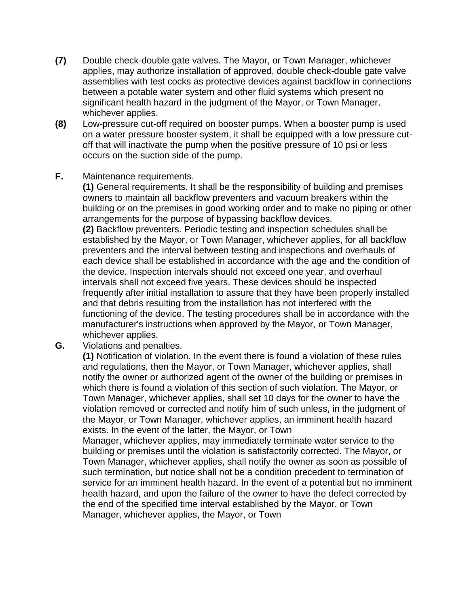- **(7)** Double check-double gate valves. The Mayor, or Town Manager, whichever applies, may authorize installation of approved, double check-double gate valve assemblies with test cocks as protective devices against backflow in connections between a potable water system and other fluid systems which present no significant health hazard in the judgment of the Mayor, or Town Manager, whichever applies.
- **(8)** Low-pressure cut-off required on booster pumps. When a booster pump is used on a water pressure booster system, it shall be equipped with a low pressure cutoff that will inactivate the pump when the positive pressure of 10 psi or less occurs on the suction side of the pump.

#### **F.** Maintenance requirements.

**(1)** General requirements. It shall be the responsibility of building and premises owners to maintain all backflow preventers and vacuum breakers within the building or on the premises in good working order and to make no piping or other arrangements for the purpose of bypassing backflow devices.

**(2)** Backflow preventers. Periodic testing and inspection schedules shall be established by the Mayor, or Town Manager, whichever applies, for all backflow preventers and the interval between testing and inspections and overhauls of each device shall be established in accordance with the age and the condition of the device. Inspection intervals should not exceed one year, and overhaul intervals shall not exceed five years. These devices should be inspected frequently after initial installation to assure that they have been properly installed and that debris resulting from the installation has not interfered with the functioning of the device. The testing procedures shall be in accordance with the manufacturer's instructions when approved by the Mayor, or Town Manager, whichever applies.

**G.** Violations and penalties.

**(1)** Notification of violation. In the event there is found a violation of these rules and regulations, then the Mayor, or Town Manager, whichever applies, shall notify the owner or authorized agent of the owner of the building or premises in which there is found a violation of this section of such violation. The Mayor, or Town Manager, whichever applies, shall set 10 days for the owner to have the violation removed or corrected and notify him of such unless, in the judgment of the Mayor, or Town Manager, whichever applies, an imminent health hazard exists. In the event of the latter, the Mayor, or Town

Manager, whichever applies, may immediately terminate water service to the building or premises until the violation is satisfactorily corrected. The Mayor, or Town Manager, whichever applies, shall notify the owner as soon as possible of such termination, but notice shall not be a condition precedent to termination of service for an imminent health hazard. In the event of a potential but no imminent health hazard, and upon the failure of the owner to have the defect corrected by the end of the specified time interval established by the Mayor, or Town Manager, whichever applies, the Mayor, or Town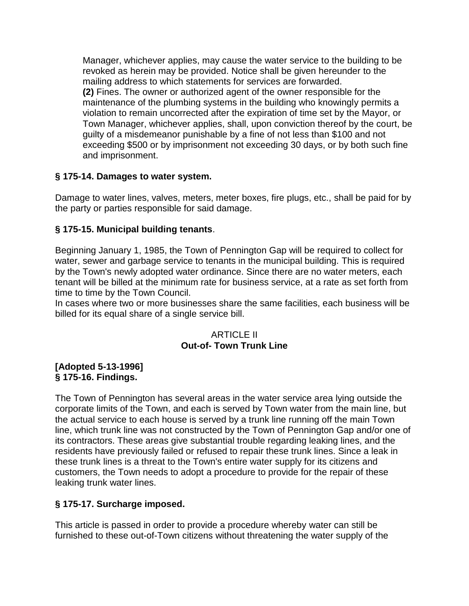Manager, whichever applies, may cause the water service to the building to be revoked as herein may be provided. Notice shall be given hereunder to the mailing address to which statements for services are forwarded. **(2)** Fines. The owner or authorized agent of the owner responsible for the maintenance of the plumbing systems in the building who knowingly permits a violation to remain uncorrected after the expiration of time set by the Mayor, or Town Manager, whichever applies, shall, upon conviction thereof by the court, be guilty of a misdemeanor punishable by a fine of not less than \$100 and not exceeding \$500 or by imprisonment not exceeding 30 days, or by both such fine and imprisonment.

## **§ 175-14. Damages to water system.**

Damage to water lines, valves, meters, meter boxes, fire plugs, etc., shall be paid for by the party or parties responsible for said damage.

# **§ 175-15. Municipal building tenants**.

Beginning January 1, 1985, the Town of Pennington Gap will be required to collect for water, sewer and garbage service to tenants in the municipal building. This is required by the Town's newly adopted water ordinance. Since there are no water meters, each tenant will be billed at the minimum rate for business service, at a rate as set forth from time to time by the Town Council.

In cases where two or more businesses share the same facilities, each business will be billed for its equal share of a single service bill.

## ARTICLE II **Out-of- Town Trunk Line**

#### **[Adopted 5-13-1996] § 175-16. Findings.**

The Town of Pennington has several areas in the water service area lying outside the corporate limits of the Town, and each is served by Town water from the main line, but the actual service to each house is served by a trunk line running off the main Town line, which trunk line was not constructed by the Town of Pennington Gap and/or one of its contractors. These areas give substantial trouble regarding leaking lines, and the residents have previously failed or refused to repair these trunk lines. Since a leak in these trunk lines is a threat to the Town's entire water supply for its citizens and customers, the Town needs to adopt a procedure to provide for the repair of these leaking trunk water lines.

## **§ 175-17. Surcharge imposed.**

This article is passed in order to provide a procedure whereby water can still be furnished to these out-of-Town citizens without threatening the water supply of the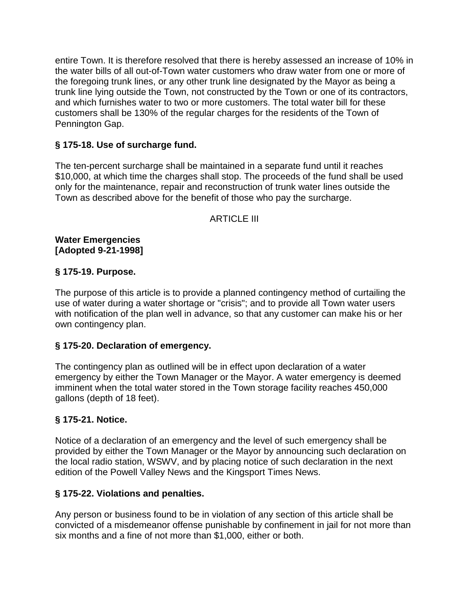entire Town. It is therefore resolved that there is hereby assessed an increase of 10% in the water bills of all out-of-Town water customers who draw water from one or more of the foregoing trunk lines, or any other trunk line designated by the Mayor as being a trunk line lying outside the Town, not constructed by the Town or one of its contractors, and which furnishes water to two or more customers. The total water bill for these customers shall be 130% of the regular charges for the residents of the Town of Pennington Gap.

## **§ 175-18. Use of surcharge fund.**

The ten-percent surcharge shall be maintained in a separate fund until it reaches \$10,000, at which time the charges shall stop. The proceeds of the fund shall be used only for the maintenance, repair and reconstruction of trunk water lines outside the Town as described above for the benefit of those who pay the surcharge.

## **ARTICLE III**

**Water Emergencies [Adopted 9-21-1998]**

#### **§ 175-19. Purpose.**

The purpose of this article is to provide a planned contingency method of curtailing the use of water during a water shortage or "crisis"; and to provide all Town water users with notification of the plan well in advance, so that any customer can make his or her own contingency plan.

## **§ 175-20. Declaration of emergency.**

The contingency plan as outlined will be in effect upon declaration of a water emergency by either the Town Manager or the Mayor. A water emergency is deemed imminent when the total water stored in the Town storage facility reaches 450,000 gallons (depth of 18 feet).

## **§ 175-21. Notice.**

Notice of a declaration of an emergency and the level of such emergency shall be provided by either the Town Manager or the Mayor by announcing such declaration on the local radio station, WSWV, and by placing notice of such declaration in the next edition of the Powell Valley News and the Kingsport Times News.

#### **§ 175-22. Violations and penalties.**

Any person or business found to be in violation of any section of this article shall be convicted of a misdemeanor offense punishable by confinement in jail for not more than six months and a fine of not more than \$1,000, either or both.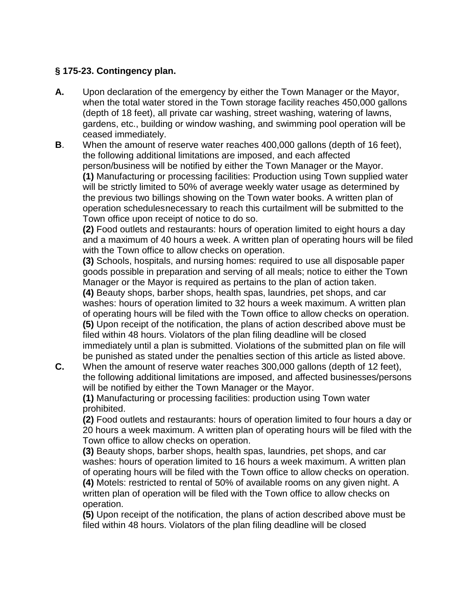# **§ 175-23. Contingency plan.**

- **A.** Upon declaration of the emergency by either the Town Manager or the Mayor, when the total water stored in the Town storage facility reaches 450,000 gallons (depth of 18 feet), all private car washing, street washing, watering of lawns, gardens, etc., building or window washing, and swimming pool operation will be ceased immediately.
- **B**. When the amount of reserve water reaches 400,000 gallons (depth of 16 feet), the following additional limitations are imposed, and each affected person/business will be notified by either the Town Manager or the Mayor. **(1)** Manufacturing or processing facilities: Production using Town supplied water will be strictly limited to 50% of average weekly water usage as determined by the previous two billings showing on the Town water books. A written plan of operation schedulesnecessary to reach this curtailment will be submitted to the Town office upon receipt of notice to do so.

**(2)** Food outlets and restaurants: hours of operation limited to eight hours a day and a maximum of 40 hours a week. A written plan of operating hours will be filed with the Town office to allow checks on operation.

**(3)** Schools, hospitals, and nursing homes: required to use all disposable paper goods possible in preparation and serving of all meals; notice to either the Town Manager or the Mayor is required as pertains to the plan of action taken.

**(4)** Beauty shops, barber shops, health spas, laundries, pet shops, and car washes: hours of operation limited to 32 hours a week maximum. A written plan of operating hours will be filed with the Town office to allow checks on operation. **(5)** Upon receipt of the notification, the plans of action described above must be filed within 48 hours. Violators of the plan filing deadline will be closed immediately until a plan is submitted. Violations of the submitted plan on file will be punished as stated under the penalties section of this article as listed above.

**C.** When the amount of reserve water reaches 300,000 gallons (depth of 12 feet), the following additional limitations are imposed, and affected businesses/persons will be notified by either the Town Manager or the Mayor.

**(1)** Manufacturing or processing facilities: production using Town water prohibited.

**(2)** Food outlets and restaurants: hours of operation limited to four hours a day or 20 hours a week maximum. A written plan of operating hours will be filed with the Town office to allow checks on operation.

**(3)** Beauty shops, barber shops, health spas, laundries, pet shops, and car washes: hours of operation limited to 16 hours a week maximum. A written plan of operating hours will be filed with the Town office to allow checks on operation. **(4)** Motels: restricted to rental of 50% of available rooms on any given night. A written plan of operation will be filed with the Town office to allow checks on operation.

**(5)** Upon receipt of the notification, the plans of action described above must be filed within 48 hours. Violators of the plan filing deadline will be closed